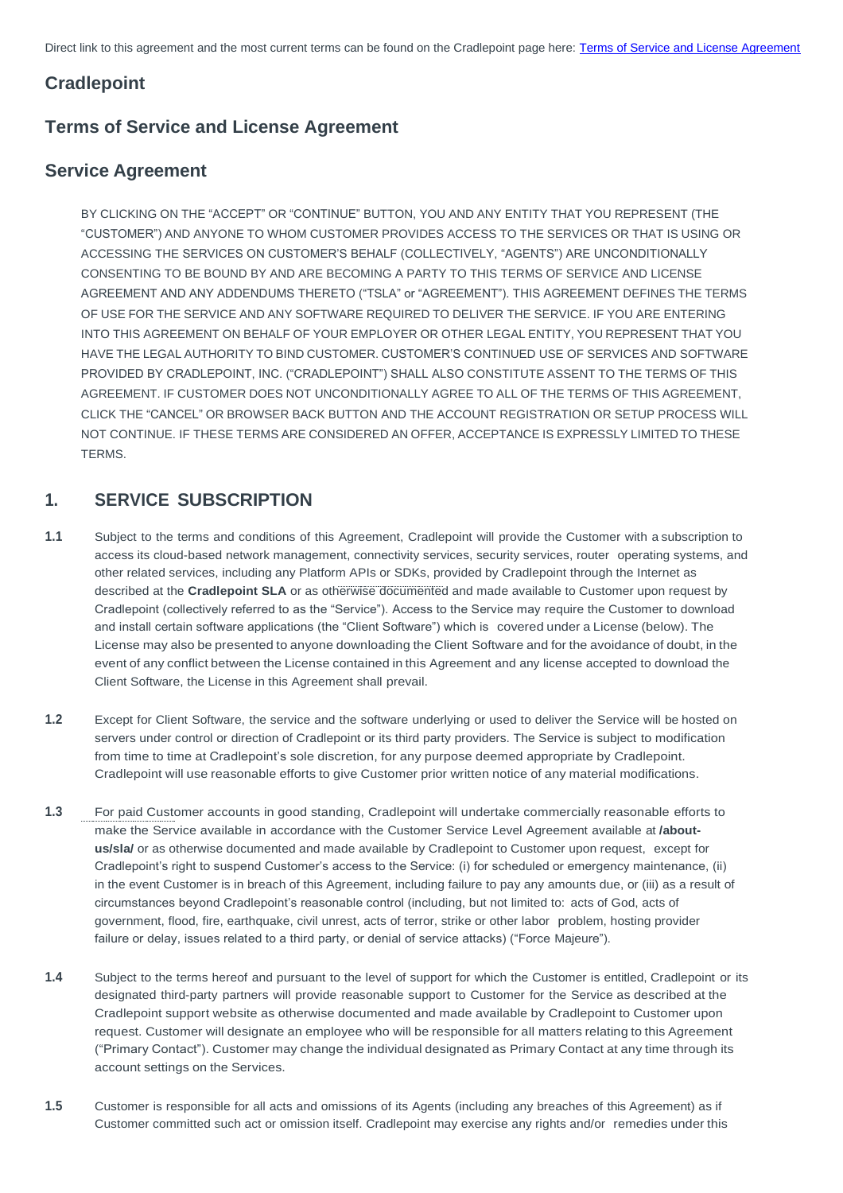Direct link to this agreement and the most current terms can be found on the Cradlepoint page here: [Terms of Service and License Agreement](https://cradlepoint.com/about-us/terms-of-service/)

# **Cradlepoint**

# **Terms of Service and License Agreement**

# **Service Agreement**

BY CLICKING ON THE "ACCEPT" OR "CONTINUE" BUTTON, YOU AND ANY ENTITY THAT YOU REPRESENT (THE "CUSTOMER") AND ANYONE TO WHOM CUSTOMER PROVIDES ACCESS TO THE SERVICES OR THAT IS USING OR ACCESSING THE SERVICES ON CUSTOMER'S BEHALF (COLLECTIVELY, "AGENTS") ARE UNCONDITIONALLY CONSENTING TO BE BOUND BY AND ARE BECOMING A PARTY TO THIS TERMS OF SERVICE AND LICENSE AGREEMENT AND ANY ADDENDUMS THERETO ("TSLA" or "AGREEMENT"). THIS AGREEMENT DEFINES THE TERMS OF USE FOR THE SERVICE AND ANY SOFTWARE REQUIRED TO DELIVER THE SERVICE. IF YOU ARE ENTERING INTO THIS AGREEMENT ON BEHALF OF YOUR EMPLOYER OR OTHER LEGAL ENTITY, YOU REPRESENT THAT YOU HAVE THE LEGAL AUTHORITY TO BIND CUSTOMER. CUSTOMER'S CONTINUED USE OF SERVICES AND SOFTWARE PROVIDED BY CRADLEPOINT, INC. ("CRADLEPOINT") SHALL ALSO CONSTITUTE ASSENT TO THE TERMS OF THIS AGREEMENT. IF CUSTOMER DOES NOT UNCONDITIONALLY AGREE TO ALL OF THE TERMS OF THIS AGREEMENT, CLICK THE "CANCEL" OR BROWSER BACK BUTTON AND THE ACCOUNT REGISTRATION OR SETUP PROCESS WILL NOT CONTINUE. IF THESE TERMS ARE CONSIDERED AN OFFER, ACCEPTANCE IS EXPRESSLY LIMITED TO THESE TERMS.

# **1. SERVICE SUBSCRIPTION**

- **1.1** Subject to the terms and conditions of this Agreement, Cradlepoint will provide the Customer with a subscription to access its cloud-based network management, connectivity services, security services, router operating systems, and other related services, including any Platform APIs or SDKs, provided by Cradlepoint through the Internet as described at the **[Cradlepoint SLA](https://cradlepoint.com/about-us/sla/)** or as otherwise documented and made available to Customer upon request by Cradlepoint (collectively referred to as the "Service"). Access to the Service may require the Customer to download and install certain software applications (the "Client Software") which is covered under a License (below). The License may also be presented to anyone downloading the Client Software and for the avoidance of doubt, in the event of any conflict between the License contained in this Agreement and any license accepted to download the Client Software, the License in this Agreement shall prevail.
- **1.2** Except for Client Software, the service and the software underlying or used to deliver the Service will be hosted on servers under control or direction of Cradlepoint or its third party providers. The Service is subject to modification from time to time at Cradlepoint's sole discretion, for any purpose deemed appropriate by Cradlepoint. Cradlepoint will use reasonable efforts to give Customer prior written notice of any material modifications.
- **1.3** For paid Customer accounts in good standing, Cradlepoint will undertake commercially reasonable efforts to make the Service available in accordance with the Customer Service Level Agreement available at **[/about](https://cradlepoint.com/about-us/sla/)[us/sla/](https://cradlepoint.com/about-us/sla/)** or as otherwise documented and made available by Cradlepoint to Customer upon request, except for Cradlepoint's right to suspend Customer's access to the Service: (i) for scheduled or emergency maintenance, (ii) in the event Customer is in breach of this Agreement, including failure to pay any amounts due, or (iii) as a result of

circumstances beyond Cradlepoint's reasonable control (including, but not limited to: acts of God, acts of government, flood, fire, earthquake, civil unrest, acts of terror, strike or other labor problem, hosting provider failure or delay, issues related to a third party, or denial of service attacks) ("Force Majeure").

- **1.4** Subject to the terms hereof and pursuant to the level of support for which the Customer is entitled, Cradlepoint or its designated third-party partners will provide reasonable support to Customer for the Service as described at the Cradlepoint support website as otherwise documented and made available by Cradlepoint to Customer upon request. Customer will designate an employee who will be responsible for all matters relating to this Agreement ("Primary Contact"). Customer may change the individual designated as Primary Contact at any time through its account settings on the Services.
- **1.5** Customer is responsible for all acts and omissions of its Agents (including any breaches of this Agreement) as if Customer committed such act or omission itself. Cradlepoint may exercise any rights and/or remedies under this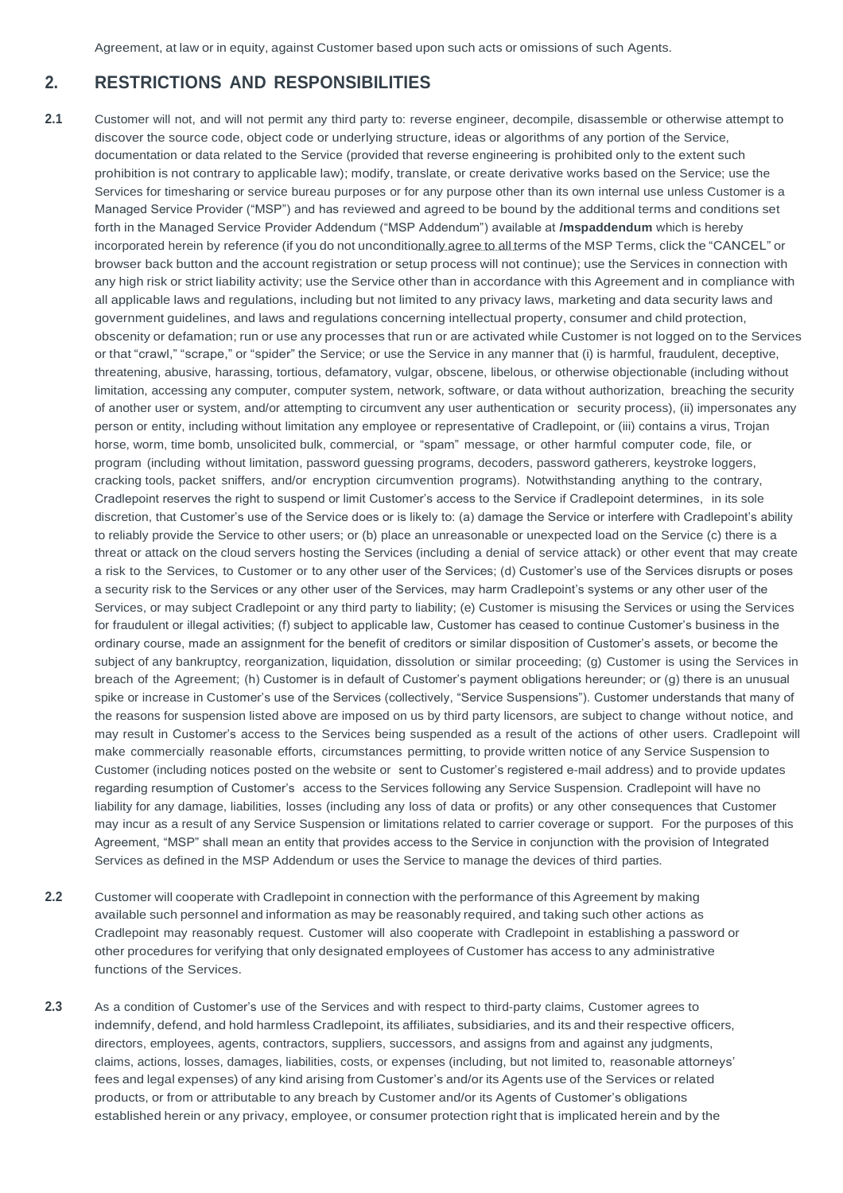Agreement, at law or in equity, against Customer based upon such acts or omissions of such Agents.

# **2. RESTRICTIONS AND RESPONSIBILITIES**

**2.1** Customer will not, and will not permit any third party to: reverse engineer, decompile, disassemble or otherwise attempt to discover the source code, object code or underlying structure, ideas or algorithms of any portion of the Service, documentation or data related to the Service (provided that reverse engineering is prohibited only to the extent such prohibition is not contrary to applicable law); modify, translate, or create derivative works based on the Service; use the Services for timesharing or service bureau purposes or for any purpose other than its own internal use unless Customer is a Managed Service Provider ("MSP") and has reviewed and agreed to be bound by the additional terms and conditions set forth in the Managed Service Provider Addendum ("MSP Addendum") available at **[/mspaddendum](https://cradlepoint.com/about-us/terms-of-service/msp-addendum/)** which is hereby incorporated herein by reference (if you do not unconditionally agree to all terms of the MSP Terms, click the "CANCEL" or browser back button and the account registration or setup process will not continue); use the Services in connection with any high risk or strict liability activity; use the Service other than in accordance with this Agreement and in compliance with all applicable laws and regulations, including but not limited to any privacy laws, marketing and data security laws and government guidelines, and laws and regulations concerning intellectual property, consumer and child protection, obscenity or defamation; run or use any processes that run or are activated while Customer is not logged on to the Services or that "crawl," "scrape," or "spider" the Service; or use the Service in any manner that (i) is harmful, fraudulent, deceptive, threatening, abusive, harassing, tortious, defamatory, vulgar, obscene, libelous, or otherwise objectionable (including without limitation, accessing any computer, computer system, network, software, or data without authorization, breaching the security of another user or system, and/or attempting to circumvent any user authentication or security process), (ii) impersonates any person or entity, including without limitation any employee or representative of Cradlepoint, or (iii) contains a virus, Trojan horse, worm, time bomb, unsolicited bulk, commercial, or "spam" message, or other harmful computer code, file, or program (including without limitation, password guessing programs, decoders, password gatherers, keystroke loggers, cracking tools, packet sniffers, and/or encryption circumvention programs). Notwithstanding anything to the contrary, Cradlepoint reserves the right to suspend or limit Customer's access to the Service if Cradlepoint determines, in its sole discretion, that Customer's use of the Service does or is likely to: (a) damage the Service or interfere with Cradlepoint's ability to reliably provide the Service to other users; or (b) place an unreasonable or unexpected load on the Service (c) there is a threat or attack on the cloud servers hosting the Services (including a denial of service attack) or other event that may create a risk to the Services, to Customer or to any other user of the Services; (d) Customer's use of the Services disrupts or poses a security risk to the Services or any other user of the Services, may harm Cradlepoint's systems or any other user of the Services, or may subject Cradlepoint or any third party to liability; (e) Customer is misusing the Services or using the Services for fraudulent or illegal activities; (f) subject to applicable law, Customer has ceased to continue Customer's business in the ordinary course, made an assignment for the benefit of creditors or similar disposition of Customer's assets, or become the subject of any bankruptcy, reorganization, liquidation, dissolution or similar proceeding; (g) Customer is using the Services in breach of the Agreement; (h) Customer is in default of Customer's payment obligations hereunder; or (g) there is an unusual spike or increase in Customer's use of the Services (collectively, "Service Suspensions"). Customer understands that many of the reasons for suspension listed above are imposed on us by third party licensors, are subject to change without notice, and may result in Customer's access to the Services being suspended as a result of the actions of other users. Cradlepoint will make commercially reasonable efforts, circumstances permitting, to provide written notice of any Service Suspension to Customer (including notices posted on the website or sent to Customer's registered e-mail address) and to provide updates regarding resumption of Customer's access to the Services following any Service Suspension. Cradlepoint will have no liability for any damage, liabilities, losses (including any loss of data or profits) or any other consequences that Customer may incur as a result of any Service Suspension or limitations related to carrier coverage or support. For the purposes of this Agreement, "MSP" shall mean an entity that provides access to the Service in conjunction with the provision of Integrated Services as defined in the MSP Addendum or uses the Service to manage the devices of third parties.

available such personnel and information as may be reasonably required, and taking such other actions as Cradlepoint may reasonably request. Customer will also cooperate with Cradlepoint in establishing a password or other procedures for verifying that only designated employees of Customer has access to any administrative functions of the Services.

**2.3** As a condition of Customer's use of the Services and with respect to third-party claims, Customer agrees to indemnify, defend, and hold harmless Cradlepoint, its affiliates, subsidiaries, and its and their respective officers, directors, employees, agents, contractors, suppliers, successors, and assigns from and against any judgments, claims, actions, losses, damages, liabilities, costs, or expenses (including, but not limited to, reasonable attorneys' fees and legal expenses) of any kind arising from Customer's and/or its Agents use of the Services or related products, or from or attributable to any breach by Customer and/or its Agents of Customer's obligations established herein or any privacy, employee, or consumer protection right that is implicated herein and by the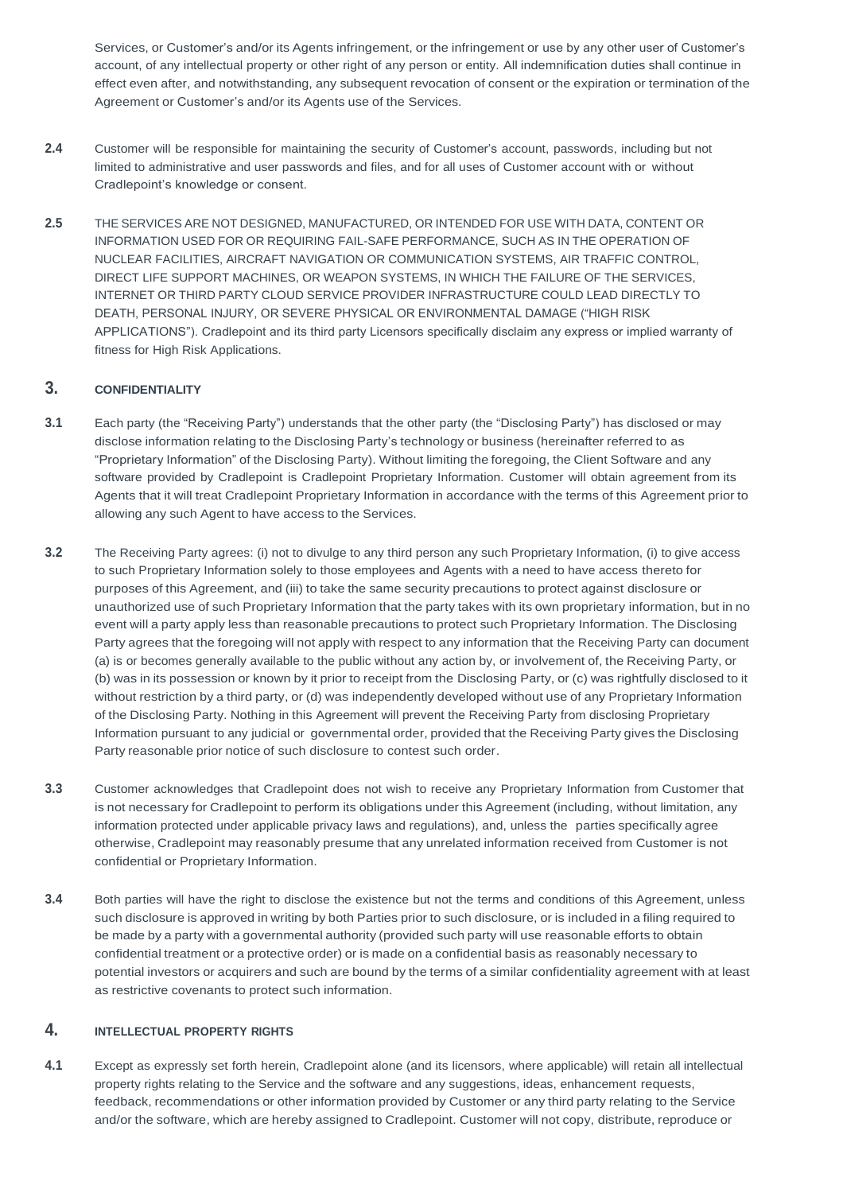Services, or Customer's and/or its Agents infringement, or the infringement or use by any other user of Customer's account, of any intellectual property or other right of any person or entity. All indemnification duties shall continue in effect even after, and notwithstanding, any subsequent revocation of consent or the expiration or termination of the Agreement or Customer's and/or its Agents use of the Services.

- **2.4** Customer will be responsible for maintaining the security of Customer's account, passwords, including but not limited to administrative and user passwords and files, and for all uses of Customer account with or without Cradlepoint's knowledge or consent.
- **2.5** THE SERVICES ARE NOT DESIGNED, MANUFACTURED, OR INTENDED FOR USE WITH DATA, CONTENT OR INFORMATION USED FOR OR REQUIRING FAIL-SAFE PERFORMANCE, SUCH AS IN THE OPERATION OF NUCLEAR FACILITIES, AIRCRAFT NAVIGATION OR COMMUNICATION SYSTEMS, AIR TRAFFIC CONTROL, DIRECT LIFE SUPPORT MACHINES, OR WEAPON SYSTEMS, IN WHICH THE FAILURE OF THE SERVICES, INTERNET OR THIRD PARTY CLOUD SERVICE PROVIDER INFRASTRUCTURE COULD LEAD DIRECTLY TO DEATH, PERSONAL INJURY, OR SEVERE PHYSICAL OR ENVIRONMENTAL DAMAGE ("HIGH RISK APPLICATIONS"). Cradlepoint and its third party Licensors specifically disclaim any express or implied warranty of fitness for High Risk Applications.

# **3. CONFIDENTIALITY**

- **3.1** Each party (the "Receiving Party") understands that the other party (the "Disclosing Party") has disclosed or may disclose information relating to the Disclosing Party's technology or business (hereinafter referred to as "Proprietary Information" of the Disclosing Party). Without limiting the foregoing, the Client Software and any software provided by Cradlepoint is Cradlepoint Proprietary Information. Customer will obtain agreement from its Agents that it will treat Cradlepoint Proprietary Information in accordance with the terms of this Agreement prior to allowing any such Agent to have access to the Services.
- **3.2** The Receiving Party agrees: (i) not to divulge to any third person any such Proprietary Information, (i) to give access to such Proprietary Information solely to those employees and Agents with a need to have access thereto for purposes of this Agreement, and (iii) to take the same security precautions to protect against disclosure or unauthorized use of such Proprietary Information that the party takes with its own proprietary information, but in no event will a party apply less than reasonable precautions to protect such Proprietary Information. The Disclosing Party agrees that the foregoing will not apply with respect to any information that the Receiving Party can document (a) is or becomes generally available to the public without any action by, or involvement of, the Receiving Party, or (b) was in its possession or known by it prior to receipt from the Disclosing Party, or (c) was rightfully disclosed to it without restriction by a third party, or (d) was independently developed without use of any Proprietary Information of the Disclosing Party. Nothing in this Agreement will prevent the Receiving Party from disclosing Proprietary Information pursuant to any judicial or governmental order, provided that the Receiving Party gives the Disclosing Party reasonable prior notice of such disclosure to contest such order.
- **3.3** Customer acknowledges that Cradlepoint does not wish to receive any Proprietary Information from Customer that is not necessary for Cradlepoint to perform its obligations under this Agreement (including, without limitation, any information protected under applicable privacy laws and regulations), and, unless the parties specifically agree otherwise, Cradlepoint may reasonably presume that any unrelated information received from Customer is not confidential or Proprietary Information.
- **3.4** Both parties will have the right to disclose the existence but not the terms and conditions of this Agreement, unless such disclosure is approved in writing by both Parties prior to such disclosure, or is included in a filing required to be made by a party with a governmental authority (provided such party will use reasonable efforts to obtain confidential treatment or a protective order) or is made on a confidential basis as reasonably necessary to potential investors or acquirers and such are bound by the terms of a similar confidentiality agreement with at least as restrictive covenants to protect such information.

# **4. INTELLECTUAL PROPERTY RIGHTS**

**4.1** Except as expressly set forth herein, Cradlepoint alone (and its licensors, where applicable) will retain all intellectual property rights relating to the Service and the software and any suggestions, ideas, enhancement requests, feedback, recommendations or other information provided by Customer or any third party relating to the Service and/or the software, which are hereby assigned to Cradlepoint. Customer will not copy, distribute, reproduce or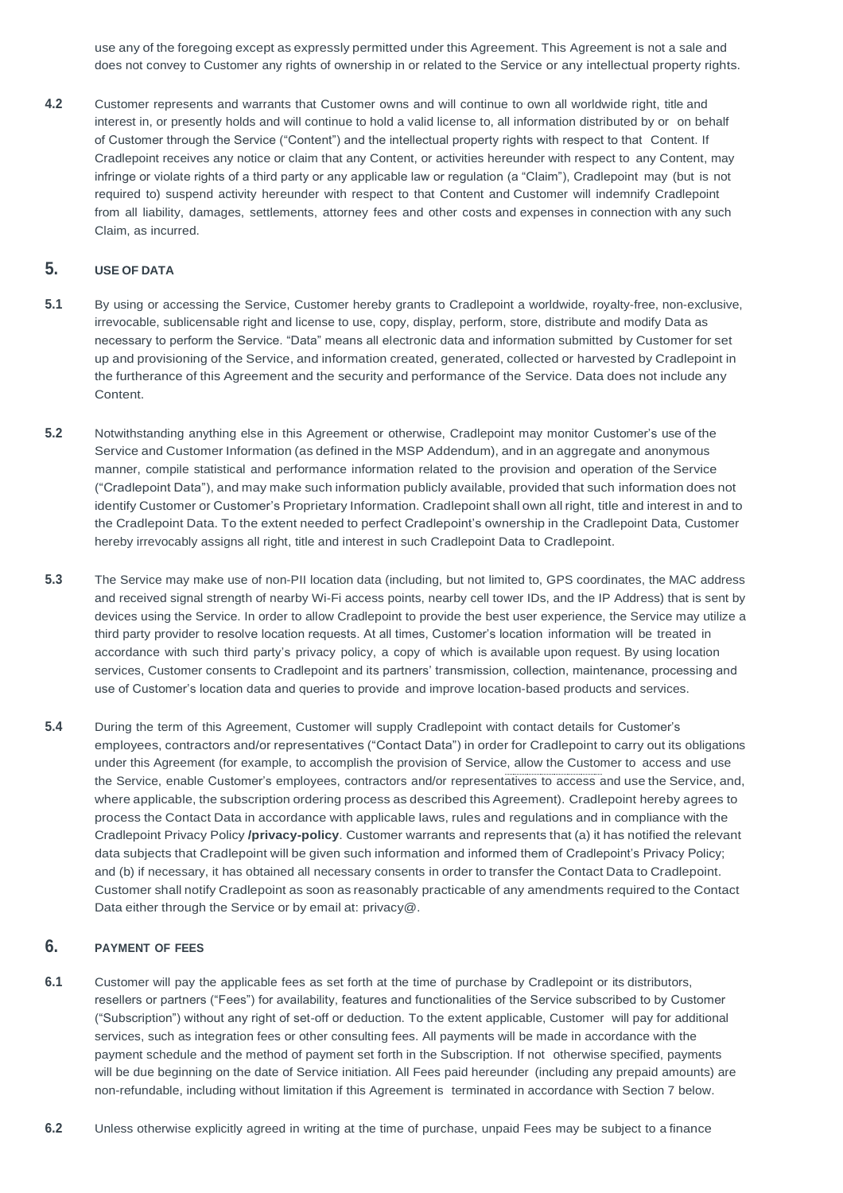use any of the foregoing except as expressly permitted under this Agreement. This Agreement is not a sale and does not convey to Customer any rights of ownership in or related to the Service or any intellectual property rights.

**4.2** Customer represents and warrants that Customer owns and will continue to own all worldwide right, title and interest in, or presently holds and will continue to hold a valid license to, all information distributed by or on behalf of Customer through the Service ("Content") and the intellectual property rights with respect to that Content. If Cradlepoint receives any notice or claim that any Content, or activities hereunder with respect to any Content, may infringe or violate rights of a third party or any applicable law or regulation (a "Claim"), Cradlepoint may (but is not required to) suspend activity hereunder with respect to that Content and Customer will indemnify Cradlepoint from all liability, damages, settlements, attorney fees and other costs and expenses in connection with any such Claim, as incurred.

# **5. USE OF DATA**

- **5.1** By using or accessing the Service, Customer hereby grants to Cradlepoint a worldwide, royalty-free, non-exclusive, irrevocable, sublicensable right and license to use, copy, display, perform, store, distribute and modify Data as necessary to perform the Service. "Data" means all electronic data and information submitted by Customer for set up and provisioning of the Service, and information created, generated, collected or harvested by Cradlepoint in the furtherance of this Agreement and the security and performance of the Service. Data does not include any Content.
- **5.2** Notwithstanding anything else in this Agreement or otherwise, Cradlepoint may monitor Customer's use of the Service and Customer Information (as defined in the MSP Addendum), and in an aggregate and anonymous manner, compile statistical and performance information related to the provision and operation of the Service ("Cradlepoint Data"), and may make such information publicly available, provided that such information does not identify Customer or Customer's Proprietary Information. Cradlepoint shall own all right, title and interest in and to the Cradlepoint Data. To the extent needed to perfect Cradlepoint's ownership in the Cradlepoint Data, Customer hereby irrevocably assigns all right, title and interest in such Cradlepoint Data to Cradlepoint.
- **5.3** The Service may make use of non-PII location data (including, but not limited to, GPS coordinates, the MAC address and received signal strength of nearby Wi-Fi access points, nearby cell tower IDs, and the IP Address) that is sent by devices using the Service. In order to allow Cradlepoint to provide the best user experience, the Service may utilize a third party provider to resolve location requests. At all times, Customer's location information will be treated in accordance with such third party's privacy policy, a copy of which is available upon request. By using location services, Customer consents to Cradlepoint and its partners' transmission, collection, maintenance, processing and use of Customer's location data and queries to provide and improve location-based products and services.
- **5.4** During the term of this Agreement, Customer will supply Cradlepoint with contact details for Customer's employees, contractors and/or representatives ("Contact Data") in order for Cradlepoint to carry out its obligations under this Agreement (for example, to accomplish the provision of Service, allow the Customer to access and use the Service, enable Customer's employees, contractors and/or representatives to access and use the Service, and, where applicable, the subscription ordering process as described this Agreement). Cradlepoint hereby agrees to process the Contact Data in accordance with applicable laws, rules and regulations and in compliance with the Cradlepoint Privacy Policy **[/privacy-policy](https://cradlepoint.com/privacy-policy)**. Customer warrants and represents that (a) it has notified the relevant data subjects that Cradlepoint will be given such information and informed them of Cradlepoint's Privacy Policy; and (b) if necessary, it has obtained all necessary consents in order to transfer the Contact Data to Cradlepoint. Customer shall notify Cradlepoint as soon as reasonably practicable of any amendments required to the Contact

Data either through the Service or by email at: privacy@.

### **6. PAYMENT OF FEES**

- **6.1** Customer will pay the applicable fees as set forth at the time of purchase by Cradlepoint or its distributors, resellers or partners ("Fees") for availability, features and functionalities of the Service subscribed to by Customer ("Subscription") without any right of set-off or deduction. To the extent applicable, Customer will pay for additional services, such as integration fees or other consulting fees. All payments will be made in accordance with the payment schedule and the method of payment set forth in the Subscription. If not otherwise specified, payments will be due beginning on the date of Service initiation. All Fees paid hereunder (including any prepaid amounts) are non-refundable, including without limitation if this Agreement is terminated in accordance with Section 7 below.
- **6.2** Unless otherwise explicitly agreed in writing at the time of purchase, unpaid Fees may be subject to a finance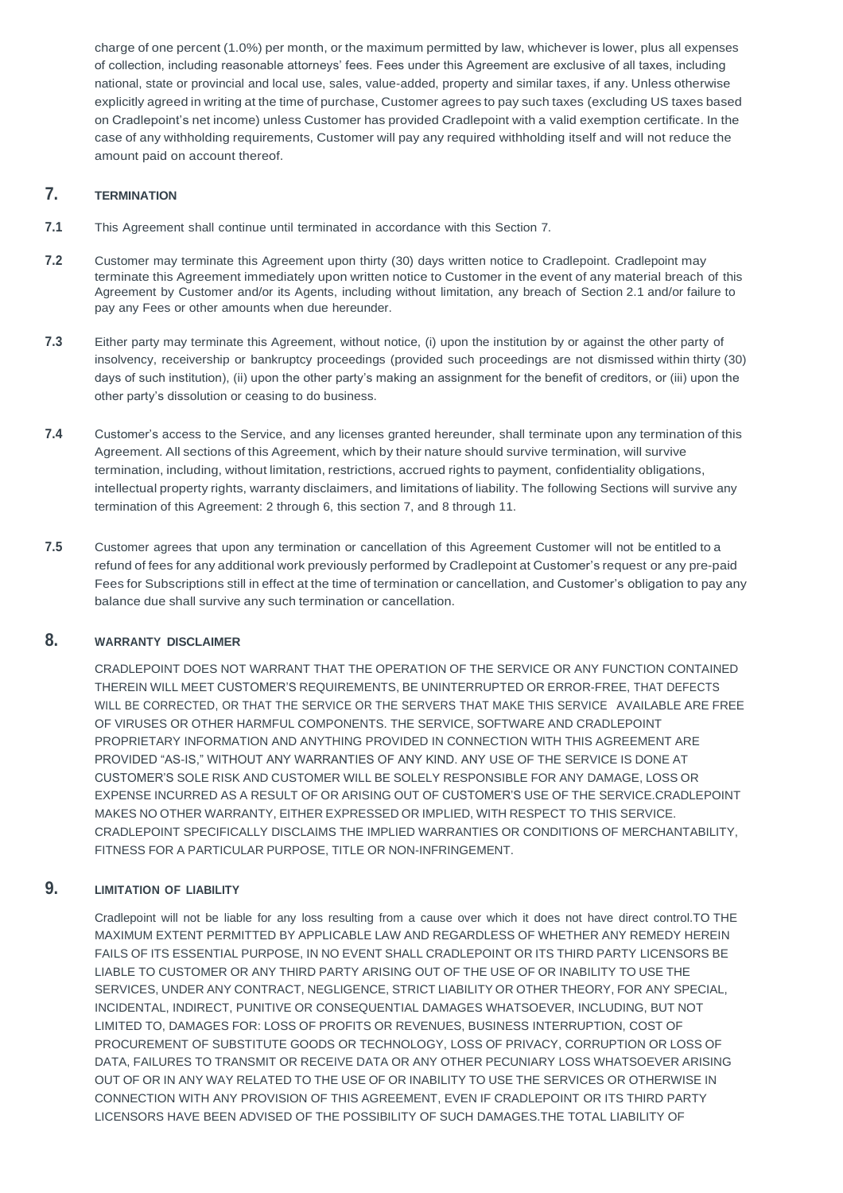charge of one percent (1.0%) per month, or the maximum permitted by law, whichever is lower, plus all expenses of collection, including reasonable attorneys' fees. Fees under this Agreement are exclusive of all taxes, including national, state or provincial and local use, sales, value-added, property and similar taxes, if any. Unless otherwise explicitly agreed in writing at the time of purchase, Customer agrees to pay such taxes (excluding US taxes based on Cradlepoint's net income) unless Customer has provided Cradlepoint with a valid exemption certificate. In the case of any withholding requirements, Customer will pay any required withholding itself and will not reduce the amount paid on account thereof.

# **7. TERMINATION**

- **7.1** This Agreement shall continue until terminated in accordance with this Section 7.
- **7.2** Customer may terminate this Agreement upon thirty (30) days written notice to Cradlepoint. Cradlepoint may terminate this Agreement immediately upon written notice to Customer in the event of any material breach of this Agreement by Customer and/or its Agents, including without limitation, any breach of Section 2.1 and/or failure to pay any Fees or other amounts when due hereunder.
- **7.3** Either party may terminate this Agreement, without notice, (i) upon the institution by or against the other party of insolvency, receivership or bankruptcy proceedings (provided such proceedings are not dismissed within thirty (30) days of such institution), (ii) upon the other party's making an assignment for the benefit of creditors, or (iii) upon the other party's dissolution or ceasing to do business.
- **7.4** Customer's access to the Service, and any licenses granted hereunder, shall terminate upon any termination of this Agreement. All sections of this Agreement, which by their nature should survive termination, will survive termination, including, without limitation, restrictions, accrued rights to payment, confidentiality obligations, intellectual property rights, warranty disclaimers, and limitations of liability. The following Sections will survive any termination of this Agreement: 2 through 6, this section 7, and 8 through 11.
- **7.5** Customer agrees that upon any termination or cancellation of this Agreement Customer will not be entitled to a refund of fees for any additional work previously performed by Cradlepoint at Customer's request or any pre-paid Fees for Subscriptions still in effect at the time of termination or cancellation, and Customer's obligation to pay any balance due shall survive any such termination or cancellation.

# **8. WARRANTY DISCLAIMER**

CRADLEPOINT DOES NOT WARRANT THAT THE OPERATION OF THE SERVICE OR ANY FUNCTION CONTAINED THEREIN WILL MEET CUSTOMER'S REQUIREMENTS, BE UNINTERRUPTED OR ERROR-FREE, THAT DEFECTS WILL BE CORRECTED, OR THAT THE SERVICE OR THE SERVERS THAT MAKE THIS SERVICE AVAILABLE ARE FREE OF VIRUSES OR OTHER HARMFUL COMPONENTS. THE SERVICE, SOFTWARE AND CRADLEPOINT PROPRIETARY INFORMATION AND ANYTHING PROVIDED IN CONNECTION WITH THIS AGREEMENT ARE PROVIDED "AS-IS," WITHOUT ANY WARRANTIES OF ANY KIND. ANY USE OF THE SERVICE IS DONE AT CUSTOMER'S SOLE RISK AND CUSTOMER WILL BE SOLELY RESPONSIBLE FOR ANY DAMAGE, LOSS OR EXPENSE INCURRED AS A RESULT OF OR ARISING OUT OF CUSTOMER'S USE OF THE SERVICE.CRADLEPOINT MAKES NO OTHER WARRANTY, EITHER EXPRESSED OR IMPLIED, WITH RESPECT TO THIS SERVICE. CRADLEPOINT SPECIFICALLY DISCLAIMS THE IMPLIED WARRANTIES OR CONDITIONS OF MERCHANTABILITY, FITNESS FOR A PARTICULAR PURPOSE, TITLE OR NON-INFRINGEMENT.

# **9. LIMITATION OF LIABILITY**

Cradlepoint will not be liable for any loss resulting from a cause over which it does not have direct control.TO THE MAXIMUM EXTENT PERMITTED BY APPLICABLE LAW AND REGARDLESS OF WHETHER ANY REMEDY HEREIN FAILS OF ITS ESSENTIAL PURPOSE, IN NO EVENT SHALL CRADLEPOINT OR ITS THIRD PARTY LICENSORS BE LIABLE TO CUSTOMER OR ANY THIRD PARTY ARISING OUT OF THE USE OF OR INABILITY TO USE THE SERVICES, UNDER ANY CONTRACT, NEGLIGENCE, STRICT LIABILITY OR OTHER THEORY, FOR ANY SPECIAL, INCIDENTAL, INDIRECT, PUNITIVE OR CONSEQUENTIAL DAMAGES WHATSOEVER, INCLUDING, BUT NOT LIMITED TO, DAMAGES FOR: LOSS OF PROFITS OR REVENUES, BUSINESS INTERRUPTION, COST OF PROCUREMENT OF SUBSTITUTE GOODS OR TECHNOLOGY, LOSS OF PRIVACY, CORRUPTION OR LOSS OF DATA, FAILURES TO TRANSMIT OR RECEIVE DATA OR ANY OTHER PECUNIARY LOSS WHATSOEVER ARISING OUT OF OR IN ANY WAY RELATED TO THE USE OF OR INABILITY TO USE THE SERVICES OR OTHERWISE IN CONNECTION WITH ANY PROVISION OF THIS AGREEMENT, EVEN IF CRADLEPOINT OR ITS THIRD PARTY LICENSORS HAVE BEEN ADVISED OF THE POSSIBILITY OF SUCH DAMAGES.THE TOTAL LIABILITY OF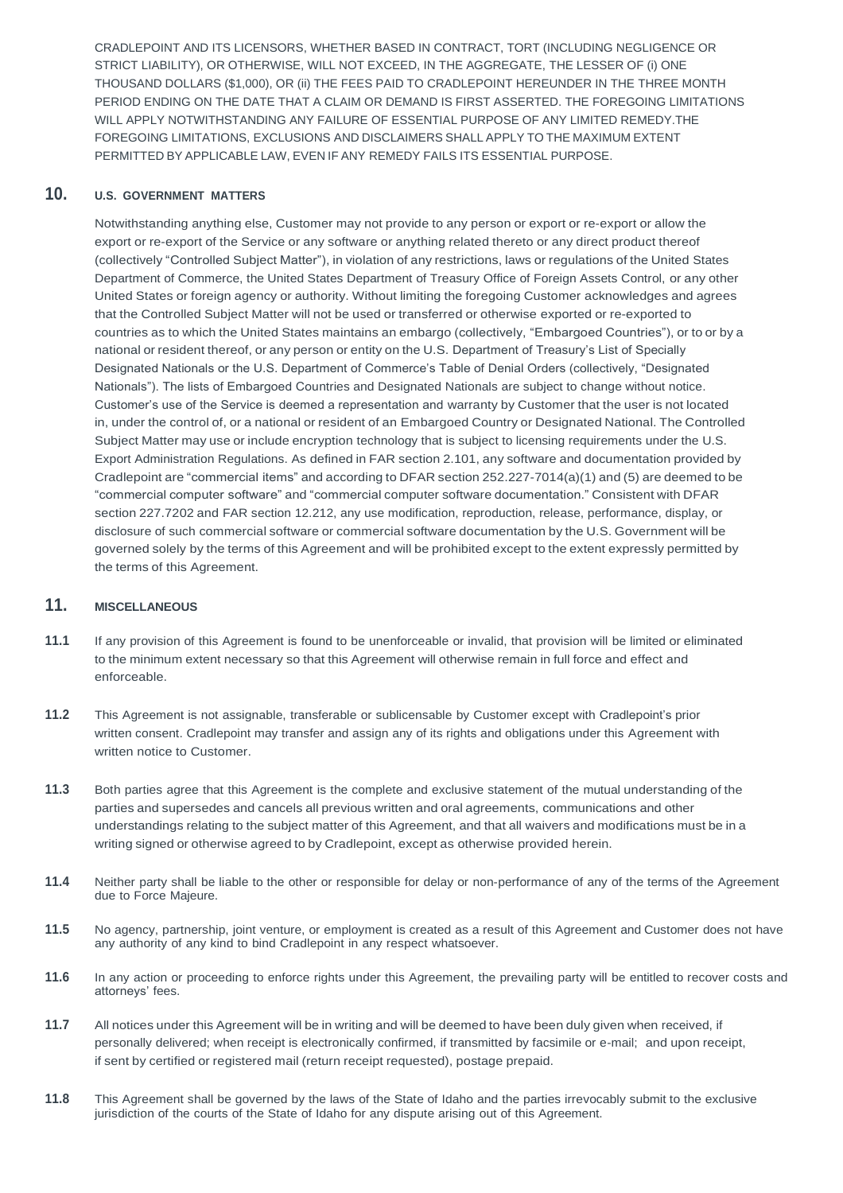CRADLEPOINT AND ITS LICENSORS, WHETHER BASED IN CONTRACT, TORT (INCLUDING NEGLIGENCE OR STRICT LIABILITY), OR OTHERWISE, WILL NOT EXCEED, IN THE AGGREGATE, THE LESSER OF (i) ONE THOUSAND DOLLARS (\$1,000), OR (ii) THE FEES PAID TO CRADLEPOINT HEREUNDER IN THE THREE MONTH PERIOD ENDING ON THE DATE THAT A CLAIM OR DEMAND IS FIRST ASSERTED. THE FOREGOING LIMITATIONS WILL APPLY NOTWITHSTANDING ANY FAILURE OF ESSENTIAL PURPOSE OF ANY LIMITED REMEDY.THE FOREGOING LIMITATIONS, EXCLUSIONS AND DISCLAIMERS SHALL APPLY TO THE MAXIMUM EXTENT PERMITTED BY APPLICABLE LAW, EVEN IF ANY REMEDY FAILS ITS ESSENTIAL PURPOSE.

# **10. U.S. GOVERNMENT MATTERS**

Notwithstanding anything else, Customer may not provide to any person or export or re-export or allow the export or re-export of the Service or any software or anything related thereto or any direct product thereof (collectively "Controlled Subject Matter"), in violation of any restrictions, laws or regulations of the United States Department of Commerce, the United States Department of Treasury Office of Foreign Assets Control, or any other United States or foreign agency or authority. Without limiting the foregoing Customer acknowledges and agrees that the Controlled Subject Matter will not be used or transferred or otherwise exported or re-exported to countries as to which the United States maintains an embargo (collectively, "Embargoed Countries"), or to or by a national or resident thereof, or any person or entity on the U.S. Department of Treasury's List of Specially Designated Nationals or the U.S. Department of Commerce's Table of Denial Orders (collectively, "Designated Nationals"). The lists of Embargoed Countries and Designated Nationals are subject to change without notice. Customer's use of the Service is deemed a representation and warranty by Customer that the user is not located in, under the control of, or a national or resident of an Embargoed Country or Designated National. The Controlled Subject Matter may use or include encryption technology that is subject to licensing requirements under the U.S. Export Administration Regulations. As defined in FAR section 2.101, any software and documentation provided by Cradlepoint are "commercial items" and according to DFAR section 252.227-7014(a)(1) and (5) are deemed to be "commercial computer software" and "commercial computer software documentation." Consistent with DFAR section 227.7202 and FAR section 12.212, any use modification, reproduction, release, performance, display, or disclosure of such commercial software or commercial software documentation by the U.S. Government will be governed solely by the terms of this Agreement and will be prohibited except to the extent expressly permitted by the terms of this Agreement.

# **11. MISCELLANEOUS**

- **11.1** If any provision of this Agreement is found to be unenforceable or invalid, that provision will be limited or eliminated to the minimum extent necessary so that this Agreement will otherwise remain in full force and effect and enforceable.
- **11.2** This Agreement is not assignable, transferable or sublicensable by Customer except with Cradlepoint's prior written consent. Cradlepoint may transfer and assign any of its rights and obligations under this Agreement with written notice to Customer.
- **11.3** Both parties agree that this Agreement is the complete and exclusive statement of the mutual understanding of the parties and supersedes and cancels all previous written and oral agreements, communications and other understandings relating to the subject matter of this Agreement, and that all waivers and modifications must be in a writing signed or otherwise agreed to by Cradlepoint, except as otherwise provided herein.
- **11.4** Neither party shall be liable to the other or responsible for delay or non-performance of any of the terms of the Agreement due to Force Majeure.

### **11.5** No agency, partnership, joint venture, or employment is created as a result of this Agreement and Customer does not have any authority of any kind to bind Cradlepoint in any respect whatsoever.

- **11.6** In any action or proceeding to enforce rights under this Agreement, the prevailing party will be entitled to recover costs and attorneys' fees.
- **11.7** All notices under this Agreement will be in writing and will be deemed to have been duly given when received, if personally delivered; when receipt is electronically confirmed, if transmitted by facsimile or e-mail; and upon receipt, if sent by certified or registered mail (return receipt requested), postage prepaid.
- **11.8** This Agreement shall be governed by the laws of the State of Idaho and the parties irrevocably submit to the exclusive jurisdiction of the courts of the State of Idaho for any dispute arising out of this Agreement.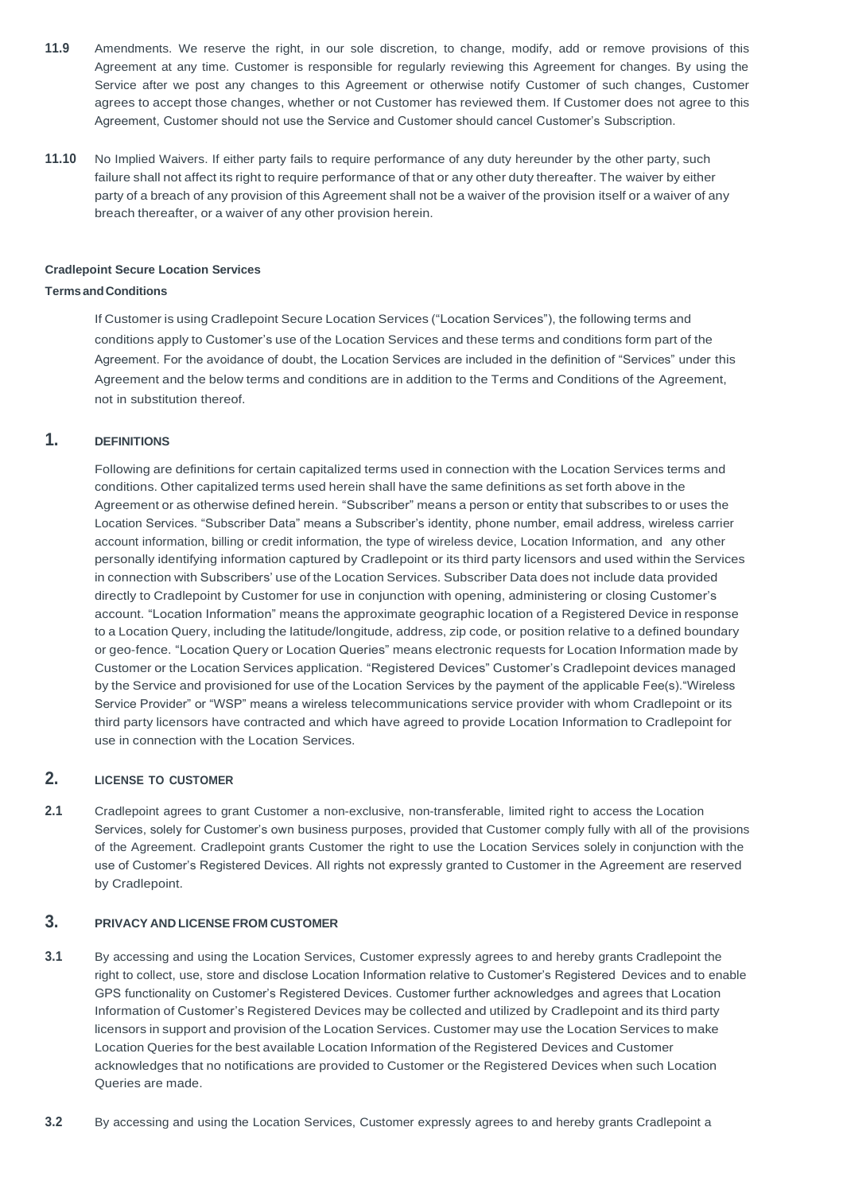- **11.9** Amendments. We reserve the right, in our sole discretion, to change, modify, add or remove provisions of this Agreement at any time. Customer is responsible for regularly reviewing this Agreement for changes. By using the Service after we post any changes to this Agreement or otherwise notify Customer of such changes, Customer agrees to accept those changes, whether or not Customer has reviewed them. If Customer does not agree to this Agreement, Customer should not use the Service and Customer should cancel Customer's Subscription.
- **11.10** No Implied Waivers. If either party fails to require performance of any duty hereunder by the other party, such failure shall not affect its right to require performance of that or any other duty thereafter. The waiver by either party of a breach of any provision of this Agreement shall not be a waiver of the provision itself or a waiver of any breach thereafter, or a waiver of any other provision herein.

### **Cradlepoint Secure Location Services**

### **TermsandConditions**

If Customer is using Cradlepoint Secure Location Services ("Location Services"), the following terms and conditions apply to Customer's use of the Location Services and these terms and conditions form part of the Agreement. For the avoidance of doubt, the Location Services are included in the definition of "Services" under this Agreement and the below terms and conditions are in addition to the Terms and Conditions of the Agreement, not in substitution thereof.

### **1. DEFINITIONS**

Following are definitions for certain capitalized terms used in connection with the Location Services terms and conditions. Other capitalized terms used herein shall have the same definitions as set forth above in the Agreement or as otherwise defined herein. "Subscriber" means a person or entity that subscribes to or uses the Location Services. "Subscriber Data" means a Subscriber's identity, phone number, email address, wireless carrier account information, billing or credit information, the type of wireless device, Location Information, and any other personally identifying information captured by Cradlepoint or its third party licensors and used within the Services in connection with Subscribers' use of the Location Services. Subscriber Data does not include data provided directly to Cradlepoint by Customer for use in conjunction with opening, administering or closing Customer's account. "Location Information" means the approximate geographic location of a Registered Device in response to a Location Query, including the latitude/longitude, address, zip code, or position relative to a defined boundary or geo-fence. "Location Query or Location Queries" means electronic requests for Location Information made by Customer or the Location Services application. "Registered Devices" Customer's Cradlepoint devices managed by the Service and provisioned for use of the Location Services by the payment of the applicable Fee(s)."Wireless Service Provider" or "WSP" means a wireless telecommunications service provider with whom Cradlepoint or its third party licensors have contracted and which have agreed to provide Location Information to Cradlepoint for use in connection with the Location Services.

# **2. LICENSE TO CUSTOMER**

**2.1** Cradlepoint agrees to grant Customer a non-exclusive, non-transferable, limited right to access the Location Services, solely for Customer's own business purposes, provided that Customer comply fully with all of the provisions of the Agreement. Cradlepoint grants Customer the right to use the Location Services solely in conjunction with the use of Customer's Registered Devices. All rights not expressly granted to Customer in the Agreement are reserved by Cradlepoint.

# **3. PRIVACY AND LICENSE FROM CUSTOMER**

- **3.1** By accessing and using the Location Services, Customer expressly agrees to and hereby grants Cradlepoint the right to collect, use, store and disclose Location Information relative to Customer's Registered Devices and to enable GPS functionality on Customer's Registered Devices. Customer further acknowledges and agrees that Location Information of Customer's Registered Devices may be collected and utilized by Cradlepoint and its third party licensors in support and provision of the Location Services. Customer may use the Location Services to make Location Queries for the best available Location Information of the Registered Devices and Customer acknowledges that no notifications are provided to Customer or the Registered Devices when such Location Queries are made.
- **3.2** By accessing and using the Location Services, Customer expressly agrees to and hereby grants Cradlepoint a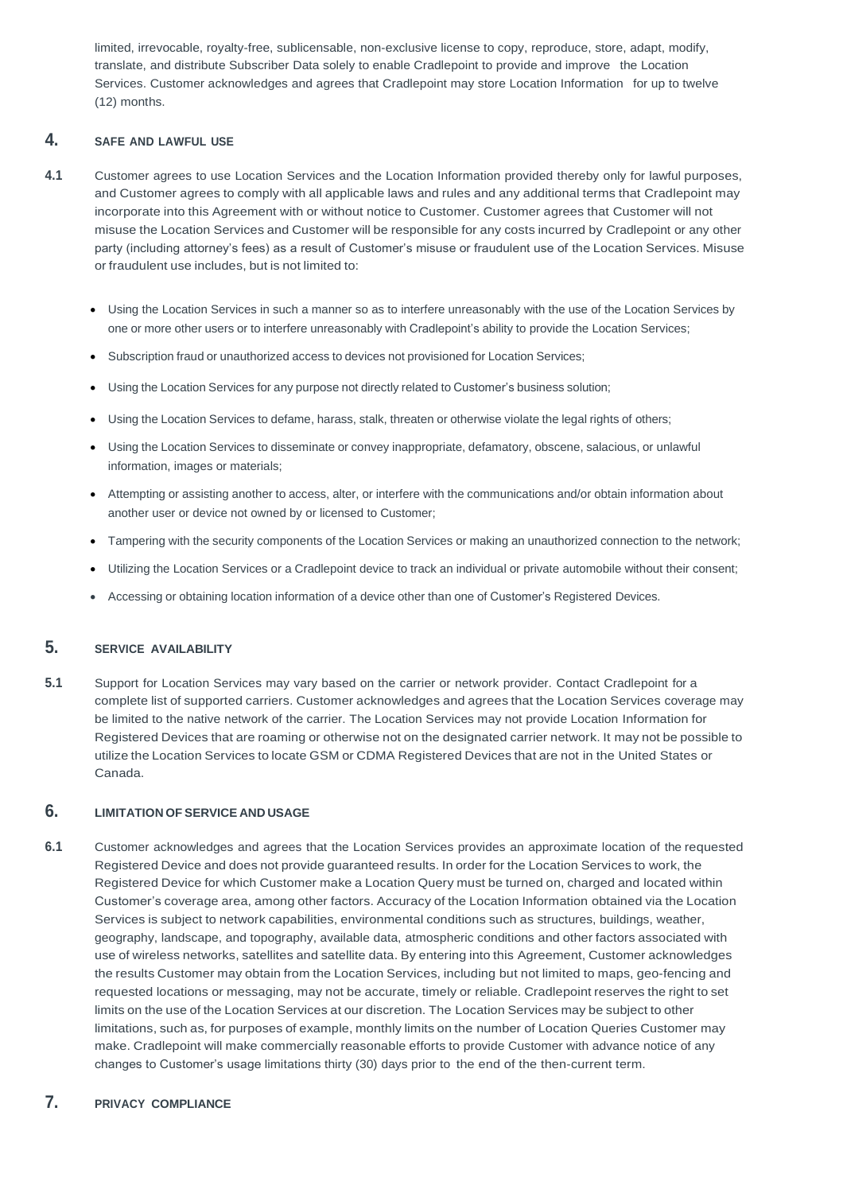limited, irrevocable, royalty-free, sublicensable, non-exclusive license to copy, reproduce, store, adapt, modify, translate, and distribute Subscriber Data solely to enable Cradlepoint to provide and improve the Location Services. Customer acknowledges and agrees that Cradlepoint may store Location Information for up to twelve (12) months.

## **4. SAFE AND LAWFUL USE**

- **4.1** Customer agrees to use Location Services and the Location Information provided thereby only for lawful purposes, and Customer agrees to comply with all applicable laws and rules and any additional terms that Cradlepoint may incorporate into this Agreement with or without notice to Customer. Customer agrees that Customer will not misuse the Location Services and Customer will be responsible for any costs incurred by Cradlepoint or any other party (including attorney's fees) as a result of Customer's misuse or fraudulent use of the Location Services. Misuse or fraudulent use includes, but is not limited to:
	- Using the Location Services in such a manner so as to interfere unreasonably with the use of the Location Services by one or more other users or to interfere unreasonably with Cradlepoint's ability to provide the Location Services;
	- Subscription fraud or unauthorized access to devices not provisioned for Location Services;
	- Using the Location Services for any purpose not directly related to Customer's business solution;
	- Using the Location Services to defame, harass, stalk, threaten or otherwise violate the legal rights of others;
	- Using the Location Services to disseminate or convey inappropriate, defamatory, obscene, salacious, or unlawful information, images or materials;
	- Attempting or assisting another to access, alter, or interfere with the communications and/or obtain information about another user or device not owned by or licensed to Customer;
	- Tampering with the security components of the Location Services or making an unauthorized connection to the network;
	- Utilizing the Location Services or a Cradlepoint device to track an individual or private automobile without their consent;
	- Accessing or obtaining location information of a device other than one of Customer's Registered Devices.

# **5. SERVICE AVAILABILITY**

**5.1** Support for Location Services may vary based on the carrier or network provider. Contact Cradlepoint for a complete list of supported carriers. Customer acknowledges and agrees that the Location Services coverage may be limited to the native network of the carrier. The Location Services may not provide Location Information for Registered Devices that are roaming or otherwise not on the designated carrier network. It may not be possible to utilize the Location Services to locate GSM or CDMA Registered Devices that are not in the United States or Canada.

# **6. LIMITATION OF SERVICE AND USAGE**

**6.1** Customer acknowledges and agrees that the Location Services provides an approximate location of the requested Registered Device and does not provide guaranteed results. In order for the Location Services to work, the Registered Device for which Customer make a Location Query must be turned on, charged and located within

Customer's coverage area, among other factors. Accuracy of the Location Information obtained via the Location Services is subject to network capabilities, environmental conditions such as structures, buildings, weather, geography, landscape, and topography, available data, atmospheric conditions and other factors associated with use of wireless networks, satellites and satellite data. By entering into this Agreement, Customer acknowledges the results Customer may obtain from the Location Services, including but not limited to maps, geo-fencing and requested locations or messaging, may not be accurate, timely or reliable. Cradlepoint reserves the right to set limits on the use of the Location Services at our discretion. The Location Services may be subject to other limitations, such as, for purposes of example, monthly limits on the number of Location Queries Customer may make. Cradlepoint will make commercially reasonable efforts to provide Customer with advance notice of any changes to Customer's usage limitations thirty (30) days prior to the end of the then-current term.

# **7. PRIVACY COMPLIANCE**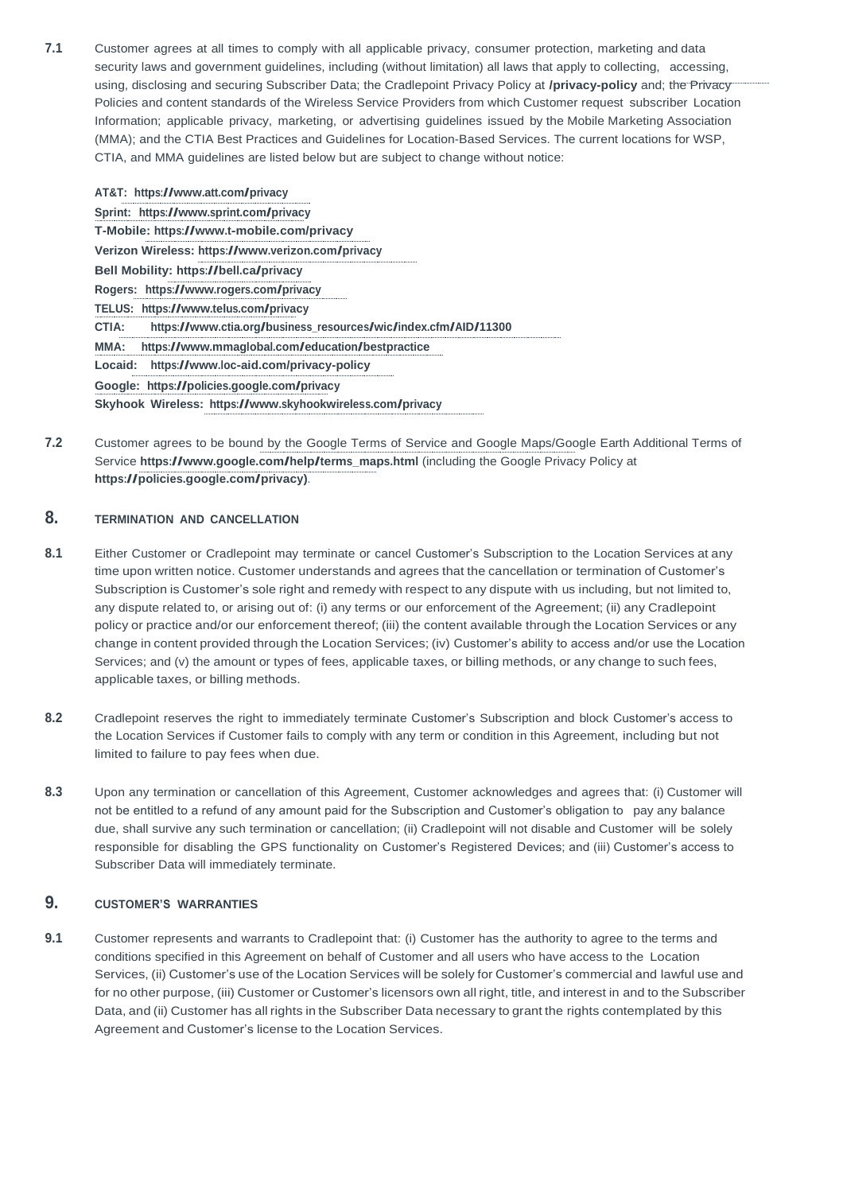**7.1** Customer agrees at all times to comply with all applicable privacy, consumer protection, marketing and data security laws and government guidelines, including (without limitation) all laws that apply to collecting, accessing, using, disclosing and securing Subscriber Data; the Cradlepoint Privacy Policy at **[/privacy-policy](https://cradlepoint.com/privacy-policy)** and; the Privacy Policies and content standards of the Wireless Service Providers from which Customer request subscriber Location Information; applicable privacy, marketing, or advertising guidelines issued by the Mobile Marketing Association (MMA); and the CTIA Best Practices and Guidelines for Location-Based Services. The current locations for WSP, CTIA, and MMA guidelines are listed below but are subject to change without notice:

**AT&T: <https://www.att.com/privacy> Sprint: <https://www.sprint.com/privacy> T-Mobile:<https://www.t-mobile.com/privacy> Verizon Wireless:<https://www.verizon.com/privacy> Bell Mobility:<https://bell.ca/privacy> Rogers: <https://www.rogers.com/privacy> TELUS: <https://www.telus.com/privacy> CTIA: [https://www.ctia.org/business\\_resources/wic/index.cfm/AID/11300](https://www.ctia.org/business_resources/wic/index.cfm/AID/11300) MMA: <https://www.mmaglobal.com/education/bestpractice> Locaid: <https://www.loc-aid.com/privacy-policy> Google: <https://policies.google.com/privacy> Skyhook Wireless: <https://www.skyhookwireless.com/privacy>**

**7.2** Customer agrees to be bound by the Google Terms of Service and Google Maps/Google Earth Additional Terms of Service **[https://www.google.com/help/terms\\_maps.html](https://www.google.com/help/terms_maps.html)** (including the Google Privacy Policy at **[https://policies.google.com/privacy\)](https://policies.google.com/privacy)**.

# **8. TERMINATION AND CANCELLATION**

- **8.1** Either Customer or Cradlepoint may terminate or cancel Customer's Subscription to the Location Services at any time upon written notice. Customer understands and agrees that the cancellation or termination of Customer's Subscription is Customer's sole right and remedy with respect to any dispute with us including, but not limited to, any dispute related to, or arising out of: (i) any terms or our enforcement of the Agreement; (ii) any Cradlepoint policy or practice and/or our enforcement thereof; (iii) the content available through the Location Services or any change in content provided through the Location Services; (iv) Customer's ability to access and/or use the Location Services; and (v) the amount or types of fees, applicable taxes, or billing methods, or any change to such fees, applicable taxes, or billing methods.
- **8.2** Cradlepoint reserves the right to immediately terminate Customer's Subscription and block Customer's access to the Location Services if Customer fails to comply with any term or condition in this Agreement, including but not limited to failure to pay fees when due.
- **8.3** Upon any termination or cancellation of this Agreement, Customer acknowledges and agrees that: (i) Customer will not be entitled to a refund of any amount paid for the Subscription and Customer's obligation to pay any balance due, shall survive any such termination or cancellation; (ii) Cradlepoint will not disable and Customer will be solely responsible for disabling the GPS functionality on Customer's Registered Devices; and (iii) Customer's access to Subscriber Data will immediately terminate.

### **9. CUSTOMER'S WARRANTIES**

**9.1** Customer represents and warrants to Cradlepoint that: (i) Customer has the authority to agree to the terms and conditions specified in this Agreement on behalf of Customer and all users who have access to the Location Services, (ii) Customer's use of the Location Services will be solely for Customer's commercial and lawful use and for no other purpose, (iii) Customer or Customer's licensors own all right, title, and interest in and to the Subscriber Data, and (ii) Customer has all rights in the Subscriber Data necessary to grant the rights contemplated by this Agreement and Customer's license to the Location Services.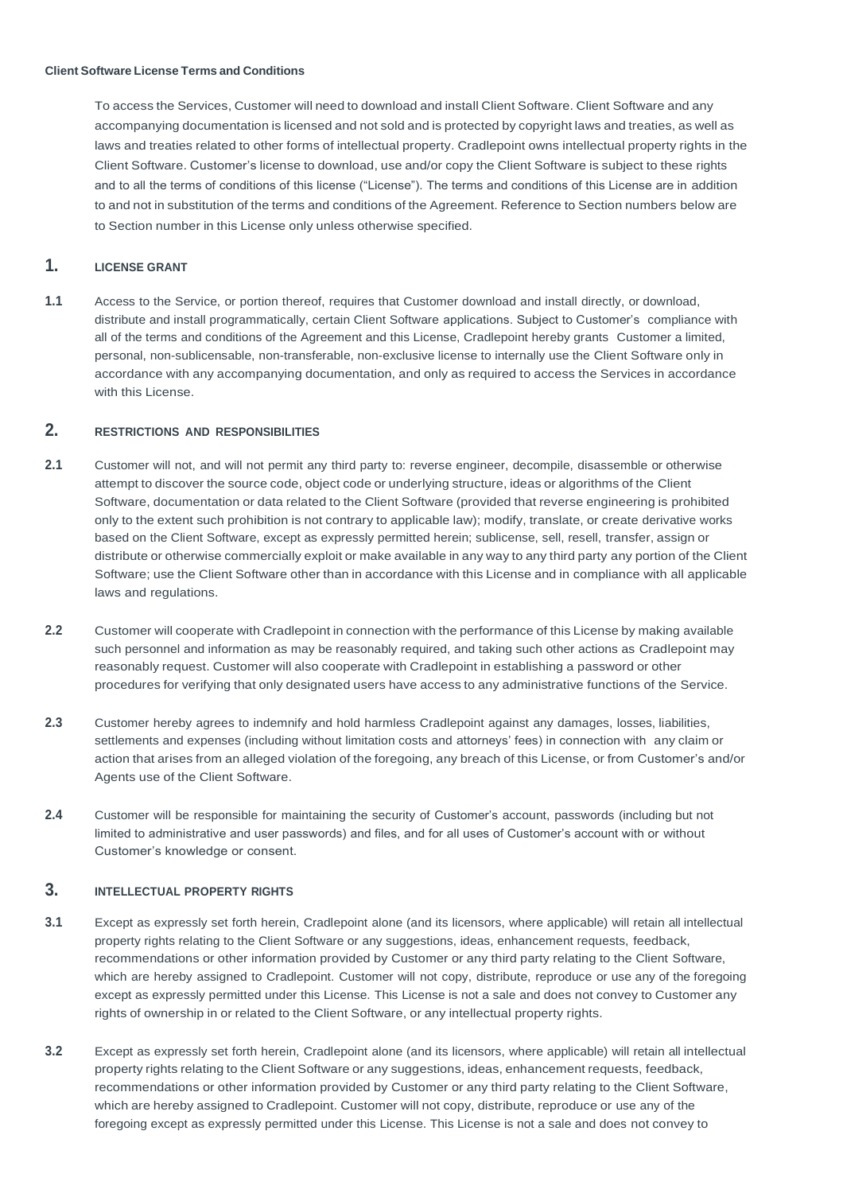To access the Services, Customer will need to download and install Client Software. Client Software and any accompanying documentation is licensed and not sold and is protected by copyright laws and treaties, as well as laws and treaties related to other forms of intellectual property. Cradlepoint owns intellectual property rights in the Client Software. Customer's license to download, use and/or copy the Client Software is subject to these rights and to all the terms of conditions of this license ("License"). The terms and conditions of this License are in addition to and not in substitution of the terms and conditions of the Agreement. Reference to Section numbers below are to Section number in this License only unless otherwise specified.

# **1. LICENSE GRANT**

**1.1** Access to the Service, or portion thereof, requires that Customer download and install directly, or download, distribute and install programmatically, certain Client Software applications. Subject to Customer's compliance with all of the terms and conditions of the Agreement and this License, Cradlepoint hereby grants Customer a limited, personal, non-sublicensable, non-transferable, non-exclusive license to internally use the Client Software only in accordance with any accompanying documentation, and only as required to access the Services in accordance with this License.

# **2. RESTRICTIONS AND RESPONSIBILITIES**

- **2.1** Customer will not, and will not permit any third party to: reverse engineer, decompile, disassemble or otherwise attempt to discover the source code, object code or underlying structure, ideas or algorithms of the Client Software, documentation or data related to the Client Software (provided that reverse engineering is prohibited only to the extent such prohibition is not contrary to applicable law); modify, translate, or create derivative works based on the Client Software, except as expressly permitted herein; sublicense, sell, resell, transfer, assign or distribute or otherwise commercially exploit or make available in any way to any third party any portion of the Client Software; use the Client Software other than in accordance with this License and in compliance with all applicable laws and regulations.
- **2.2** Customer will cooperate with Cradlepoint in connection with the performance of this License by making available such personnel and information as may be reasonably required, and taking such other actions as Cradlepoint may reasonably request. Customer will also cooperate with Cradlepoint in establishing a password or other procedures for verifying that only designated users have access to any administrative functions of the Service.
- **2.3** Customer hereby agrees to indemnify and hold harmless Cradlepoint against any damages, losses, liabilities, settlements and expenses (including without limitation costs and attorneys' fees) in connection with any claim or action that arises from an alleged violation of the foregoing, any breach of this License, or from Customer's and/or Agents use of the Client Software.
- **2.4** Customer will be responsible for maintaining the security of Customer's account, passwords (including but not limited to administrative and user passwords) and files, and for all uses of Customer's account with or without Customer's knowledge or consent.

# **3. INTELLECTUAL PROPERTY RIGHTS**

- **3.1** Except as expressly set forth herein, Cradlepoint alone (and its licensors, where applicable) will retain all intellectual property rights relating to the Client Software or any suggestions, ideas, enhancement requests, feedback, recommendations or other information provided by Customer or any third party relating to the Client Software, which are hereby assigned to Cradlepoint. Customer will not copy, distribute, reproduce or use any of the foregoing except as expressly permitted under this License. This License is not a sale and does not convey to Customer any rights of ownership in or related to the Client Software, or any intellectual property rights.
- **3.2** Except as expressly set forth herein, Cradlepoint alone (and its licensors, where applicable) will retain all intellectual property rights relating to the Client Software or any suggestions, ideas, enhancement requests, feedback, recommendations or other information provided by Customer or any third party relating to the Client Software, which are hereby assigned to Cradlepoint. Customer will not copy, distribute, reproduce or use any of the foregoing except as expressly permitted under this License. This License is not a sale and does not convey to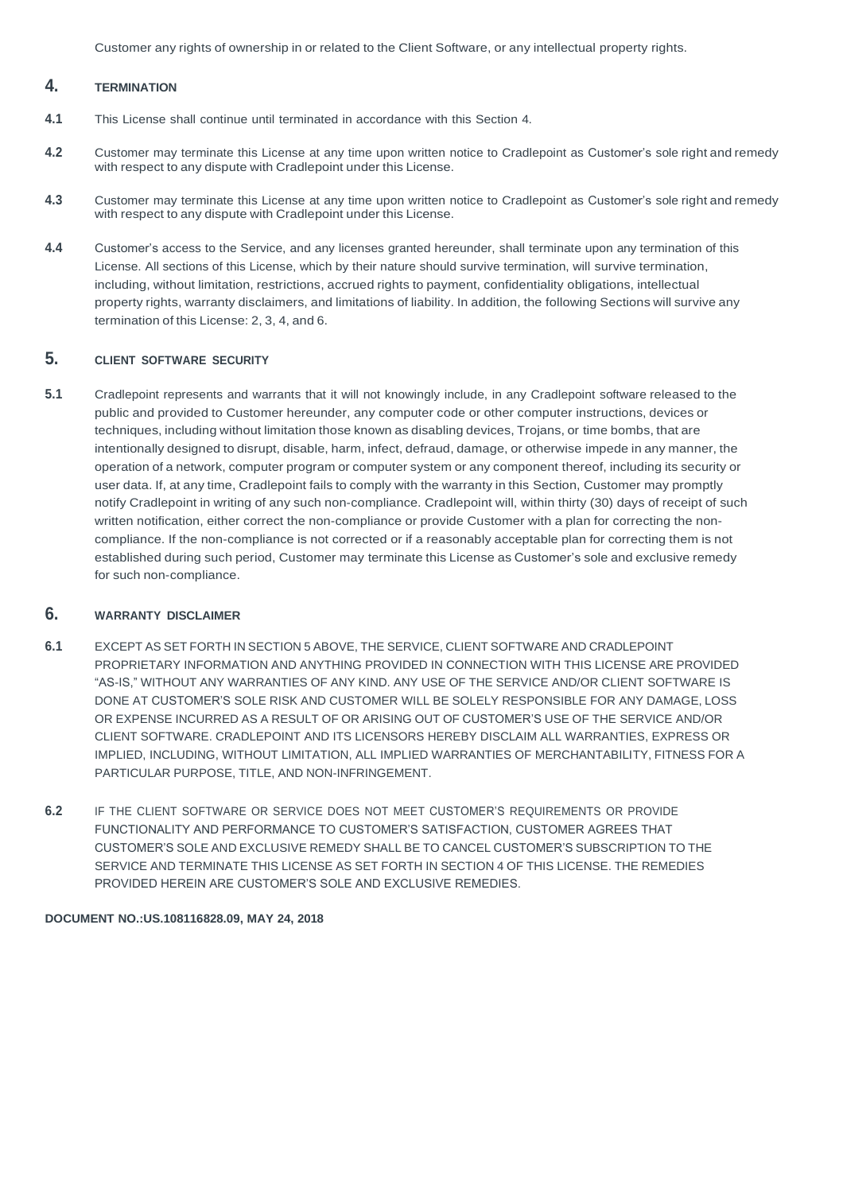Customer any rights of ownership in or related to the Client Software, or any intellectual property rights.

# **4. TERMINATION**

- **4.1** This License shall continue until terminated in accordance with this Section 4.
- **4.2** Customer may terminate this License at any time upon written notice to Cradlepoint as Customer's sole right and remedy with respect to any dispute with Cradlepoint under this License.
- **4.3** Customer may terminate this License at any time upon written notice to Cradlepoint as Customer's sole right and remedy with respect to any dispute with Cradlepoint under this License.
- **4.4** Customer's access to the Service, and any licenses granted hereunder, shall terminate upon any termination of this License. All sections of this License, which by their nature should survive termination, will survive termination, including, without limitation, restrictions, accrued rights to payment, confidentiality obligations, intellectual property rights, warranty disclaimers, and limitations of liability. In addition, the following Sections will survive any termination of this License: 2, 3, 4, and 6.

# **5. CLIENT SOFTWARE SECURITY**

**5.1** Cradlepoint represents and warrants that it will not knowingly include, in any Cradlepoint software released to the public and provided to Customer hereunder, any computer code or other computer instructions, devices or techniques, including without limitation those known as disabling devices, Trojans, or time bombs, that are intentionally designed to disrupt, disable, harm, infect, defraud, damage, or otherwise impede in any manner, the operation of a network, computer program or computer system or any component thereof, including its security or user data. If, at any time, Cradlepoint fails to comply with the warranty in this Section, Customer may promptly notify Cradlepoint in writing of any such non-compliance. Cradlepoint will, within thirty (30) days of receipt of such written notification, either correct the non-compliance or provide Customer with a plan for correcting the noncompliance. If the non-compliance is not corrected or if a reasonably acceptable plan for correcting them is not established during such period, Customer may terminate this License as Customer's sole and exclusive remedy for such non-compliance.

## **6. WARRANTY DISCLAIMER**

- **6.1** EXCEPT AS SET FORTH IN SECTION 5 ABOVE, THE SERVICE, CLIENT SOFTWARE AND CRADLEPOINT PROPRIETARY INFORMATION AND ANYTHING PROVIDED IN CONNECTION WITH THIS LICENSE ARE PROVIDED "AS-IS," WITHOUT ANY WARRANTIES OF ANY KIND. ANY USE OF THE SERVICE AND/OR CLIENT SOFTWARE IS DONE AT CUSTOMER'S SOLE RISK AND CUSTOMER WILL BE SOLELY RESPONSIBLE FOR ANY DAMAGE, LOSS OR EXPENSE INCURRED AS A RESULT OF OR ARISING OUT OF CUSTOMER'S USE OF THE SERVICE AND/OR CLIENT SOFTWARE. CRADLEPOINT AND ITS LICENSORS HEREBY DISCLAIM ALL WARRANTIES, EXPRESS OR IMPLIED, INCLUDING, WITHOUT LIMITATION, ALL IMPLIED WARRANTIES OF MERCHANTABILITY, FITNESS FOR A PARTICULAR PURPOSE, TITLE, AND NON-INFRINGEMENT.
- **6.2** IF THE CLIENT SOFTWARE OR SERVICE DOES NOT MEET CUSTOMER'S REQUIREMENTS OR PROVIDE FUNCTIONALITY AND PERFORMANCE TO CUSTOMER'S SATISFACTION, CUSTOMER AGREES THAT CUSTOMER'S SOLE AND EXCLUSIVE REMEDY SHALL BE TO CANCEL CUSTOMER'S SUBSCRIPTION TO THE SERVICE AND TERMINATE THIS LICENSE AS SET FORTH IN SECTION 4 OF THIS LICENSE. THE REMEDIES PROVIDED HEREIN ARE CUSTOMER'S SOLE AND EXCLUSIVE REMEDIES.

#### **DOCUMENT NO.:US.108116828.09, MAY 24, 2018**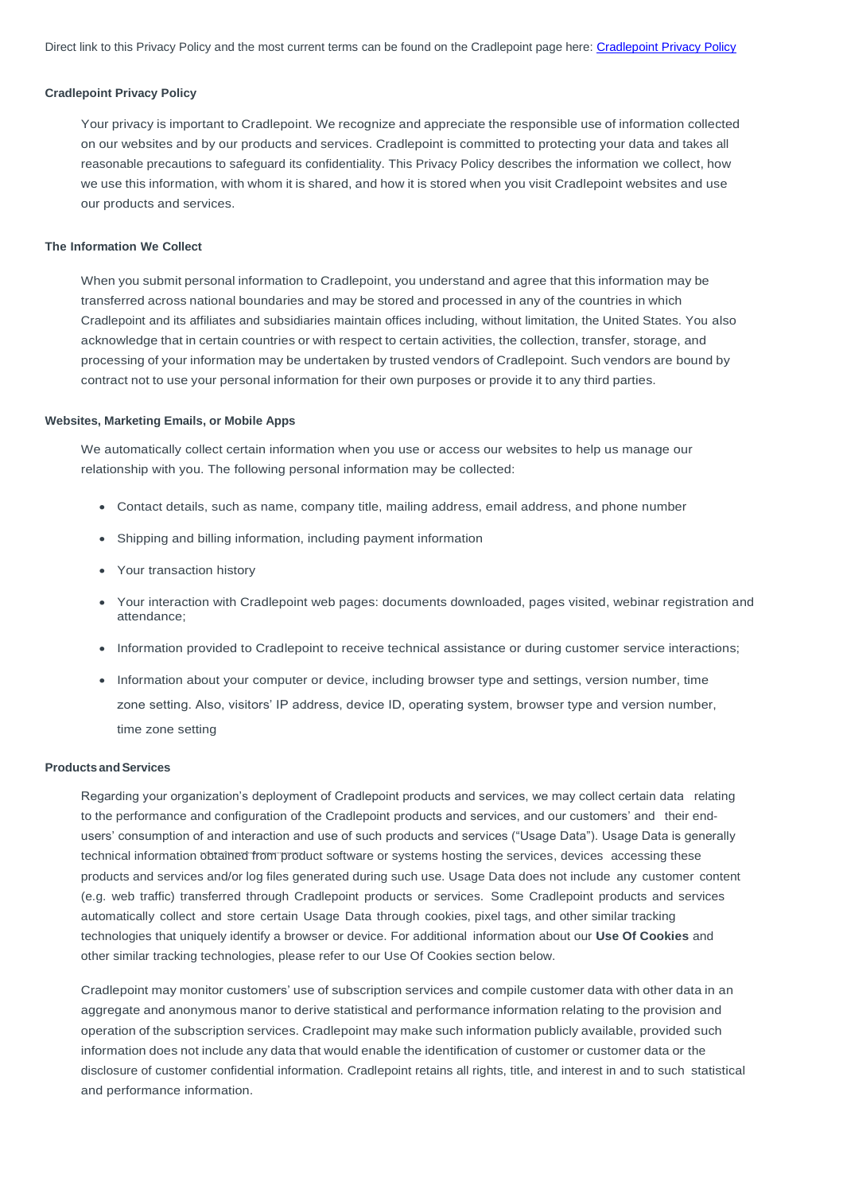### **Cradlepoint Privacy Policy**

Your privacy is important to Cradlepoint. We recognize and appreciate the responsible use of information collected on our websites and by our products and services. Cradlepoint is committed to protecting your data and takes all reasonable precautions to safeguard its confidentiality. This Privacy Policy describes the information we collect, how we use this information, with whom it is shared, and how it is stored when you visit Cradlepoint websites and use our products and services.

#### **The Information We Collect**

When you submit personal information to Cradlepoint, you understand and agree that this information may be transferred across national boundaries and may be stored and processed in any of the countries in which Cradlepoint and its affiliates and subsidiaries maintain offices including, without limitation, the United States. You also acknowledge that in certain countries or with respect to certain activities, the collection, transfer, storage, and processing of your information may be undertaken by trusted vendors of Cradlepoint. Such vendors are bound by contract not to use your personal information for their own purposes or provide it to any third parties.

#### **Websites, Marketing Emails, or Mobile Apps**

We automatically collect certain information when you use or access our websites to help us manage our relationship with you. The following personal information may be collected:

- Contact details, such as name, company title, mailing address, email address, and phone number
- Shipping and billing information, including payment information
- Your transaction history
- Your interaction with Cradlepoint web pages: documents downloaded, pages visited, webinar registration and attendance;
- Information provided to Cradlepoint to receive technical assistance or during customer service interactions;
- Information about your computer or device, including browser type and settings, version number, time zone setting. Also, visitors' IP address, device ID, operating system, browser type and version number, time zone setting

### **Products andServices**

Regarding your organization's deployment of Cradlepoint products and services, we may collect certain data relating to the performance and configuration of the Cradlepoint products and services, and our customers' and their endusers' consumption of and interaction and use of such products and services ("Usage Data"). Usage Data is generally technical information obtained from product software or systems hosting the services, devices accessing these products and services and/or log files generated during such use. Usage Data does not include any customer content (e.g. web traffic) transferred through Cradlepoint products or services. Some Cradlepoint products and services automatically collect and store certain Usage Data through cookies, pixel tags, and other similar tracking technologies that uniquely identify a browser or device. For additional information about our **[Use Of Cookies](https://cradlepoint.com/about-us/cookie-policy/)** and other similar tracking technologies, please refer to our Use Of Cookies section below.

Cradlepoint may monitor customers' use of subscription services and compile customer data with other data in an aggregate and anonymous manor to derive statistical and performance information relating to the provision and operation of the subscription services. Cradlepoint may make such information publicly available, provided such information does not include any data that would enable the identification of customer or customer data or the disclosure of customer confidential information. Cradlepoint retains all rights, title, and interest in and to such statistical and performance information.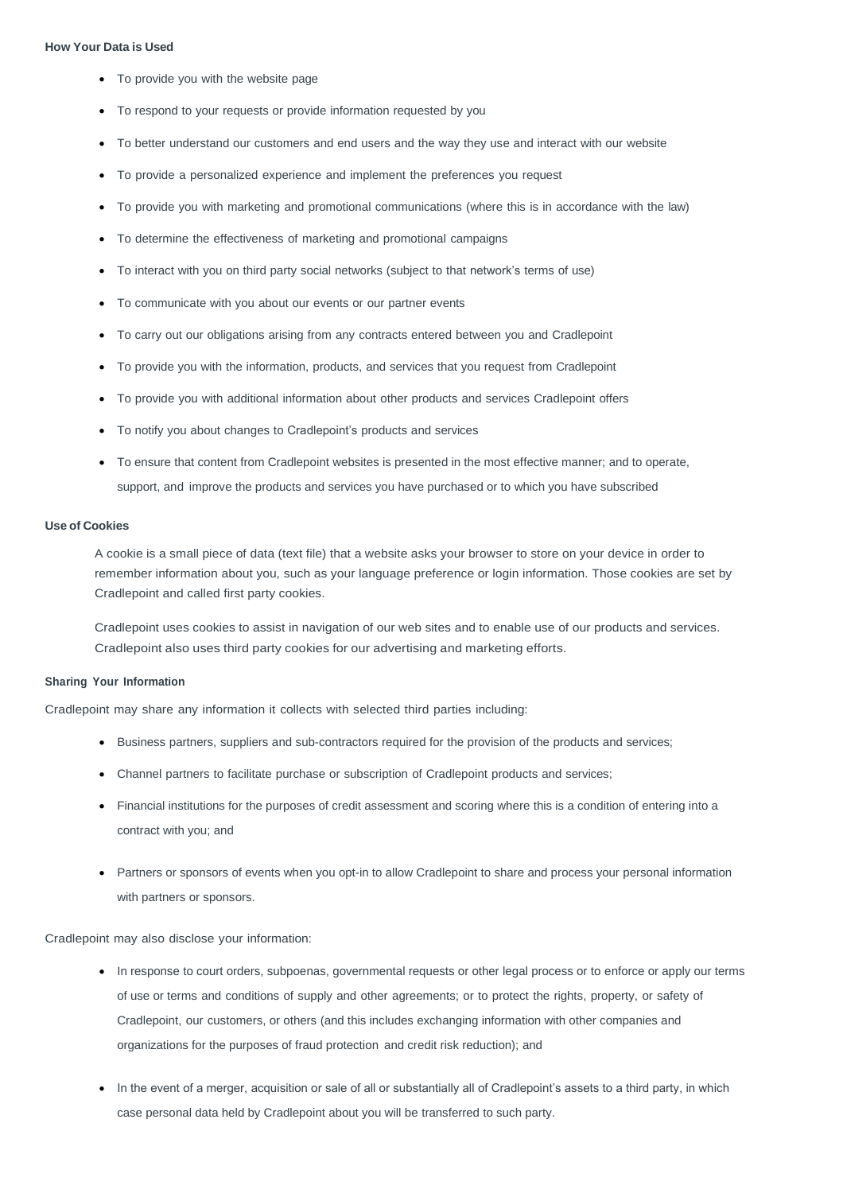### **How Your Data is Used**

- To provide you with the website page
- To respond to your requests or provide information requested by you
- To better understand our customers and end users and the way they use and interact with our website
- To provide a personalized experience and implement the preferences you request
- To provide you with marketing and promotional communications (where this is in accordance with the law)
- To determine the effectiveness of marketing and promotional campaigns
- To interact with you on third party social networks (subject to that network's terms of use)
- To communicate with you about our events or our partner events
- To carry out our obligations arising from any contracts entered between you and Cradlepoint
- To provide you with the information, products, and services that you request from Cradlepoint
- To provide you with additional information about other products and services Cradlepoint offers
- To notify you about changes to Cradlepoint's products and services
- To ensure that content from Cradlepoint websites is presented in the most effective manner; and to operate, support, and improve the products and services you have purchased or to which you have subscribed

### **Use of Cookies**

A cookie is a small piece of data (text file) that a website asks your browser to store on your device in order to remember information about you, such as your language preference or login information. Those cookies are set by Cradlepoint and called first party cookies.

Cradlepoint uses cookies to assist in navigation of our web sites and to enable use of our products and services. Cradlepoint also uses third party cookies for our advertising and marketing efforts.

### **Sharing Your Information**

Cradlepoint may share any information it collects with selected third parties including:

- Business partners, suppliers and sub-contractors required for the provision of the products and services;
- Channel partners to facilitate purchase or subscription of Cradlepoint products and services;
- Financial institutions for the purposes of credit assessment and scoring where this is a condition of entering into a contract with you; and
- Partners or sponsors of events when you opt-in to allow Cradlepoint to share and process your personal information with partners or sponsors.



Cradlepoint may also disclose your information:

• In response to court orders, subpoenas, governmental requests or other legal process or to enforce or apply our terms

of use or terms and conditions of supply and other agreements; or to protect the rights, property, or safety of

Cradlepoint, our customers, or others (and this includes exchanging information with other companies and

organizations for the purposes of fraud protection and credit risk reduction); and

• In the event of a merger, acquisition or sale of all or substantially all of Cradlepoint's assets to a third party, in which case personal data held by Cradlepoint about you will be transferred to such party.